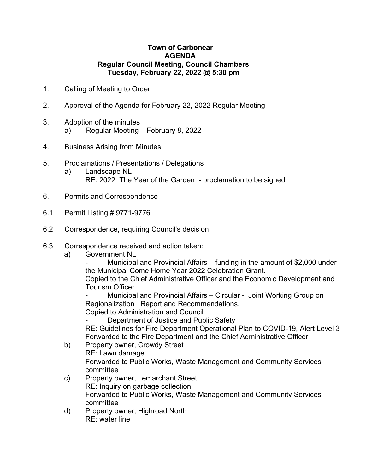## **Town of Carbonear AGENDA Regular Council Meeting, Council Chambers Tuesday, February 22, 2022 @ 5:30 pm**

- 1. Calling of Meeting to Order
- 2. Approval of the Agenda for February 22, 2022 Regular Meeting
- 3. Adoption of the minutes a) Regular Meeting – February 8, 2022
- 4. Business Arising from Minutes
- 5. Proclamations / Presentations / Delegations a) Landscape NL
	- RE: 2022 The Year of the Garden proclamation to be signed
- 6. Permits and Correspondence
- 6.1 Permit Listing # 9771-9776
- 6.2 Correspondence, requiring Council's decision
- 6.3 Correspondence received and action taken:
	- a) Government NL

Municipal and Provincial Affairs – funding in the amount of \$2,000 under the Municipal Come Home Year 2022 Celebration Grant.

Copied to the Chief Administrative Officer and the Economic Development and Tourism Officer

Municipal and Provincial Affairs – Circular - Joint Working Group on Regionalization Report and Recommendations.

Copied to Administration and Council

Department of Justice and Public Safety

RE: Guidelines for Fire Department Operational Plan to COVID-19, Alert Level 3 Forwarded to the Fire Department and the Chief Administrative Officer

- b) Property owner, Crowdy Street RE: Lawn damage Forwarded to Public Works, Waste Management and Community Services committee
- c) Property owner, Lemarchant Street RE: Inquiry on garbage collection Forwarded to Public Works, Waste Management and Community Services committee
- d) Property owner, Highroad North RE: water line